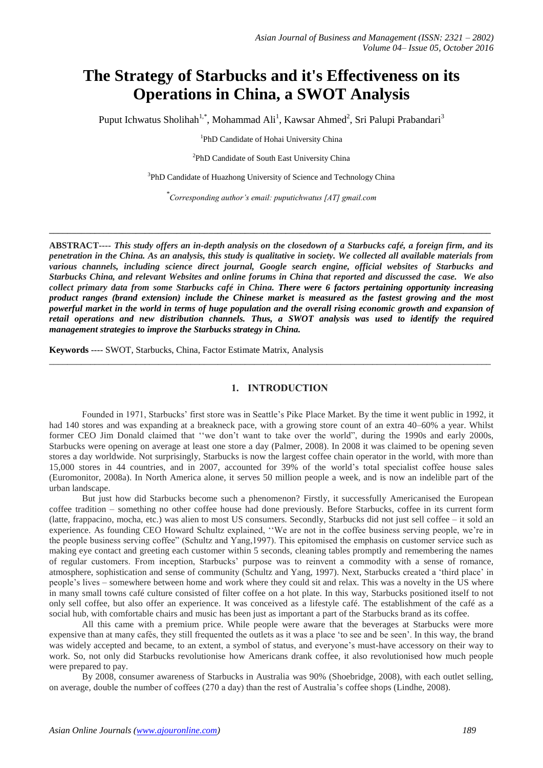# **The Strategy of Starbucks and it's Effectiveness on its Operations in China, a SWOT Analysis**

Puput Ichwatus Sholihah<sup>1,\*</sup>, Mohammad Ali<sup>1</sup>, Kawsar Ahmed<sup>2</sup>, Sri Palupi Prabandari<sup>3</sup>

1 PhD Candidate of Hohai University China

<sup>2</sup>PhD Candidate of South East University China

<sup>3</sup>PhD Candidate of Huazhong University of Science and Technology China

*\* Corresponding author's email: puputichwatus [AT] gmail.com*

**\_\_\_\_\_\_\_\_\_\_\_\_\_\_\_\_\_\_\_\_\_\_\_\_\_\_\_\_\_\_\_\_\_\_\_\_\_\_\_\_\_\_\_\_\_\_\_\_\_\_\_\_\_\_\_\_\_\_\_\_\_\_\_\_\_\_\_\_\_\_\_\_\_\_\_\_\_\_\_\_\_\_\_\_\_\_\_\_\_\_\_\_\_\_\_\_\_**

**ABSTRACT----** *This study offers an in-depth analysis on the closedown of a Starbucks café, a foreign firm, and its penetration in the China. As an analysis, this study is qualitative in society. We collected all available materials from various channels, including science direct journal, Google search engine, official websites of Starbucks and Starbucks China, and relevant Websites and online forums in China that reported and discussed the case. We also collect primary data from some Starbucks café in China. There were 6 factors pertaining opportunity increasing product ranges (brand extension) include the Chinese market is measured as the fastest growing and the most powerful market in the world in terms of huge population and the overall rising economic growth and expansion of retail operations and new distribution channels. Thus, a SWOT analysis was used to identify the required management strategies to improve the Starbucks strategy in China.*

**Keywords** ---- SWOT, Starbucks, China, Factor Estimate Matrix, Analysis

# **1. INTRODUCTION**

\_\_\_\_\_\_\_\_\_\_\_\_\_\_\_\_\_\_\_\_\_\_\_\_\_\_\_\_\_\_\_\_\_\_\_\_\_\_\_\_\_\_\_\_\_\_\_\_\_\_\_\_\_\_\_\_\_\_\_\_\_\_\_\_\_\_\_\_\_\_\_\_\_\_\_\_\_\_\_\_\_\_\_\_\_\_\_\_\_\_\_\_\_\_\_\_\_

Founded in 1971, Starbucks' first store was in Seattle's Pike Place Market. By the time it went public in 1992, it had 140 stores and was expanding at a breakneck pace, with a growing store count of an extra 40–60% a year. Whilst former CEO Jim Donald claimed that ''we don't want to take over the world", during the 1990s and early 2000s, Starbucks were opening on average at least one store a day (Palmer, 2008). In 2008 it was claimed to be opening seven stores a day worldwide. Not surprisingly, Starbucks is now the largest coffee chain operator in the world, with more than 15,000 stores in 44 countries, and in 2007, accounted for 39% of the world's total specialist coffee house sales (Euromonitor, 2008a). In North America alone, it serves 50 million people a week, and is now an indelible part of the urban landscape.

But just how did Starbucks become such a phenomenon? Firstly, it successfully Americanised the European coffee tradition – something no other coffee house had done previously. Before Starbucks, coffee in its current form (latte, frappacino, mocha, etc.) was alien to most US consumers. Secondly, Starbucks did not just sell coffee – it sold an experience. As founding CEO Howard Schultz explained, ''We are not in the coffee business serving people, we're in the people business serving coffee" (Schultz and Yang,1997). This epitomised the emphasis on customer service such as making eye contact and greeting each customer within 5 seconds, cleaning tables promptly and remembering the names of regular customers. From inception, Starbucks' purpose was to reinvent a commodity with a sense of romance, atmosphere, sophistication and sense of community (Schultz and Yang, 1997). Next, Starbucks created a 'third place' in people's lives – somewhere between home and work where they could sit and relax. This was a novelty in the US where in many small towns café culture consisted of filter coffee on a hot plate. In this way, Starbucks positioned itself to not only sell coffee, but also offer an experience. It was conceived as a lifestyle café. The establishment of the café as a social hub, with comfortable chairs and music has been just as important a part of the Starbucks brand as its coffee.

All this came with a premium price. While people were aware that the beverages at Starbucks were more expensive than at many cafés, they still frequented the outlets as it was a place 'to see and be seen'. In this way, the brand was widely accepted and became, to an extent, a symbol of status, and everyone's must-have accessory on their way to work. So, not only did Starbucks revolutionise how Americans drank coffee, it also revolutionised how much people were prepared to pay.

By 2008, consumer awareness of Starbucks in Australia was 90% (Shoebridge, 2008), with each outlet selling, on average, double the number of coffees (270 a day) than the rest of Australia's coffee shops (Lindhe, 2008).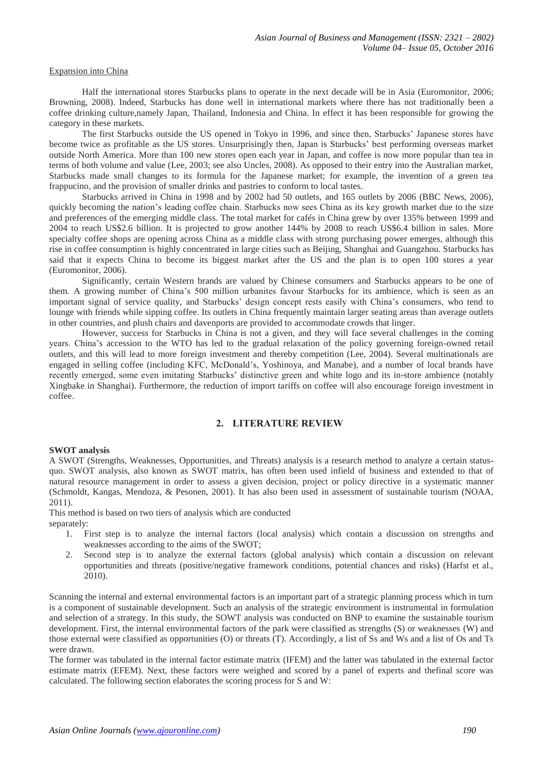#### Expansion into China

Half the international stores Starbucks plans to operate in the next decade will be in Asia (Euromonitor, 2006; Browning, 2008). Indeed, Starbucks has done well in international markets where there has not traditionally been a coffee drinking culture,namely Japan, Thailand, Indonesia and China. In effect it has been responsible for growing the category in these markets.

The first Starbucks outside the US opened in Tokyo in 1996, and since then, Starbucks' Japanese stores have become twice as profitable as the US stores. Unsurprisingly then, Japan is Starbucks' best performing overseas market outside North America. More than 100 new stores open each year in Japan, and coffee is now more popular than tea in terms of both volume and value (Lee, 2003; see also Uncles, 2008). As opposed to their entry into the Australian market, Starbucks made small changes to its formula for the Japanese market; for example, the invention of a green tea frappucino, and the provision of smaller drinks and pastries to conform to local tastes.

Starbucks arrived in China in 1998 and by 2002 had 50 outlets, and 165 outlets by 2006 (BBC News, 2006), quickly becoming the nation's leading coffee chain. Starbucks now sees China as its key growth market due to the size and preferences of the emerging middle class. The total market for cafés in China grew by over 135% between 1999 and 2004 to reach US\$2.6 billion. It is projected to grow another 144% by 2008 to reach US\$6.4 billion in sales. More specialty coffee shops are opening across China as a middle class with strong purchasing power emerges, although this rise in coffee consumption is highly concentrated in large cities such as Beijing, Shanghai and Guangzhou. Starbucks has said that it expects China to become its biggest market after the US and the plan is to open 100 stores a year (Euromonitor, 2006).

Significantly, certain Western brands are valued by Chinese consumers and Starbucks appears to be one of them. A growing number of China's 500 million urbanites favour Starbucks for its ambience, which is seen as an important signal of service quality, and Starbucks' design concept rests easily with China's consumers, who tend to lounge with friends while sipping coffee. Its outlets in China frequently maintain larger seating areas than average outlets in other countries, and plush chairs and davenports are provided to accommodate crowds that linger.

However, success for Starbucks in China is not a given, and they will face several challenges in the coming years. China's accession to the WTO has led to the gradual relaxation of the policy governing foreign-owned retail outlets, and this will lead to more foreign investment and thereby competition (Lee, 2004). Several multinationals are engaged in selling coffee (including KFC, McDonald's, Yoshinoya, and Manabe), and a number of local brands have recently emerged, some even imitating Starbucks' distinctive green and white logo and its in-store ambience (notably Xingbake in Shanghai). Furthermore, the reduction of import tariffs on coffee will also encourage foreign investment in coffee.

# **2. LITERATURE REVIEW**

#### **SWOT analysis**

A SWOT (Strengths, Weaknesses, Opportunities, and Threats) analysis is a research method to analyze a certain statusquo. SWOT analysis, also known as SWOT matrix, has often been used infield of business and extended to that of natural resource management in order to assess a given decision, project or policy directive in a systematic manner (Schmoldt, Kangas, Mendoza, & Pesonen, 2001). It has also been used in assessment of sustainable tourism (NOAA, 2011).

This method is based on two tiers of analysis which are conducted separately:

- 1. First step is to analyze the internal factors (local analysis) which contain a discussion on strengths and weaknesses according to the aims of the SWOT;
- 2. Second step is to analyze the external factors (global analysis) which contain a discussion on relevant opportunities and threats (positive/negative framework conditions, potential chances and risks) (Harfst et al., 2010).

Scanning the internal and external environmental factors is an important part of a strategic planning process which in turn is a component of sustainable development. Such an analysis of the strategic environment is instrumental in formulation and selection of a strategy. In this study, the SOWT analysis was conducted on BNP to examine the sustainable tourism development. First, the internal environmental factors of the park were classified as strengths (S) or weaknesses (W) and those external were classified as opportunities (O) or threats (T). Accordingly, a list of Ss and Ws and a list of Os and Ts were drawn.

The former was tabulated in the internal factor estimate matrix (IFEM) and the latter was tabulated in the external factor estimate matrix (EFEM). Next, these factors were weighed and scored by a panel of experts and thefinal score was calculated. The following section elaborates the scoring process for S and W: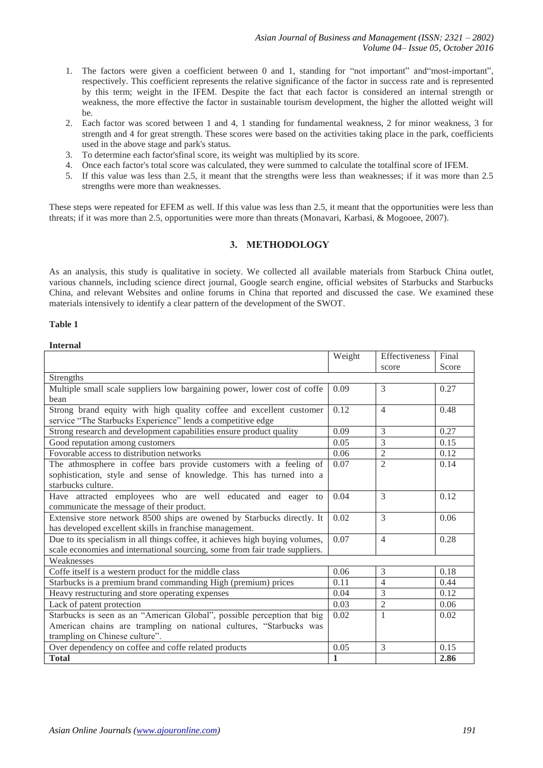- 1. The factors were given a coefficient between 0 and 1, standing for "not important" and"most-important", respectively. This coefficient represents the relative significance of the factor in success rate and is represented by this term; weight in the IFEM. Despite the fact that each factor is considered an internal strength or weakness, the more effective the factor in sustainable tourism development, the higher the allotted weight will be.
- 2. Each factor was scored between 1 and 4, 1 standing for fundamental weakness, 2 for minor weakness, 3 for strength and 4 for great strength. These scores were based on the activities taking place in the park, coefficients used in the above stage and park's status.
- 3. To determine each factor'sfinal score, its weight was multiplied by its score.
- 4. Once each factor's total score was calculated, they were summed to calculate the totalfinal score of IFEM.
- 5. If this value was less than 2.5, it meant that the strengths were less than weaknesses; if it was more than 2.5 strengths were more than weaknesses.

These steps were repeated for EFEM as well. If this value was less than 2.5, it meant that the opportunities were less than threats; if it was more than 2.5, opportunities were more than threats (Monavari, Karbasi, & Mogooee, 2007).

# **3. METHODOLOGY**

As an analysis, this study is qualitative in society. We collected all available materials from Starbuck China outlet, various channels, including science direct journal, Google search engine, official websites of Starbucks and Starbucks China, and relevant Websites and online forums in China that reported and discussed the case. We examined these materials intensively to identify a clear pattern of the development of the SWOT.

# **Table 1**

## **Internal**

|                                                                              | Weight       | Effectiveness            | Final |  |
|------------------------------------------------------------------------------|--------------|--------------------------|-------|--|
|                                                                              |              | score                    | Score |  |
| Strengths                                                                    |              |                          |       |  |
| Multiple small scale suppliers low bargaining power, lower cost of coffe     | 0.09         | 3                        | 0.27  |  |
| bean                                                                         |              |                          |       |  |
| Strong brand equity with high quality coffee and excellent customer          | 0.12         | $\overline{4}$           | 0.48  |  |
| service "The Starbucks Experience" lends a competitive edge                  |              |                          |       |  |
| Strong research and development capabilities ensure product quality          | 0.09         | 3                        | 0.27  |  |
| Good reputation among customers                                              | 0.05         | 3                        | 0.15  |  |
| Fovorable access to distribution networks                                    | 0.06         | $\overline{2}$           | 0.12  |  |
| The athmosphere in coffee bars provide customers with a feeling of           | 0.07         | $\overline{\mathcal{L}}$ | 0.14  |  |
| sophistication, style and sense of knowledge. This has turned into a         |              |                          |       |  |
| starbucks culture.                                                           |              |                          |       |  |
| Have attracted employees who are well educated and eager to                  | 0.04         | $\mathcal{E}$            | 0.12  |  |
| communicate the message of their product.                                    |              |                          |       |  |
| Extensive store network 8500 ships are owened by Starbucks directly. It      | 0.02         | $\mathcal{E}$            | 0.06  |  |
| has developed excellent skills in franchise management.                      |              |                          |       |  |
| Due to its specialism in all things coffee, it achieves high buying volumes, | 0.07         | $\overline{4}$           | 0.28  |  |
| scale economies and international sourcing, some from fair trade suppliers.  |              |                          |       |  |
| Weaknesses                                                                   |              |                          |       |  |
| Coffe itself is a western product for the middle class                       | 0.06         | 3                        | 0.18  |  |
| Starbucks is a premium brand commanding High (premium) prices                | 0.11         | $\overline{4}$           | 0.44  |  |
| Heavy restructuring and store operating expenses                             | 0.04         | 3                        | 0.12  |  |
| Lack of patent protection                                                    | 0.03         | $\overline{2}$           | 0.06  |  |
| Starbucks is seen as an "American Global", possible perception that big      | 0.02         | 1                        | 0.02  |  |
| American chains are trampling on national cultures, "Starbucks was           |              |                          |       |  |
| trampling on Chinese culture".                                               |              |                          |       |  |
| Over dependency on coffee and coffe related products                         | 0.05         | 3                        | 0.15  |  |
| <b>Total</b>                                                                 | $\mathbf{1}$ |                          | 2.86  |  |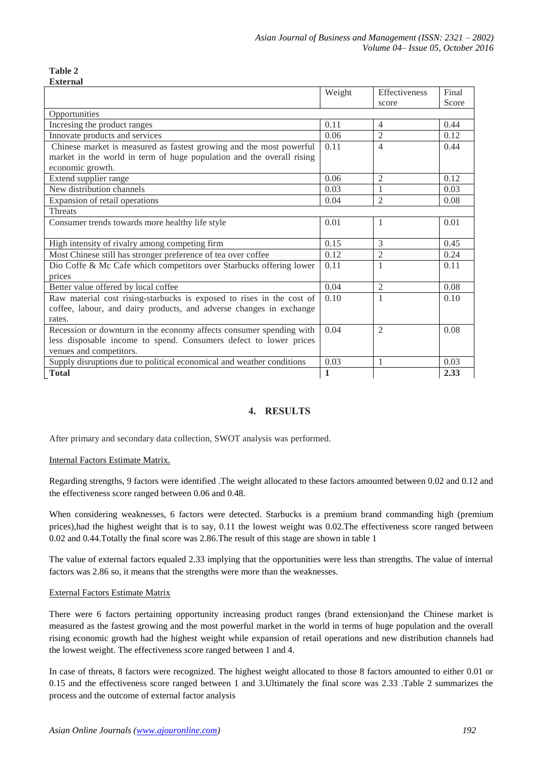#### **Table 2 External**

|                                                                       | Weight       | Effectiveness  | Final |  |
|-----------------------------------------------------------------------|--------------|----------------|-------|--|
|                                                                       |              | score          | Score |  |
| Opportunities                                                         |              |                |       |  |
| Incresing the product ranges                                          | 0.11         | $\overline{4}$ | 0.44  |  |
| Innovate products and services                                        | 0.06         | $\overline{2}$ | 0.12  |  |
| Chinese market is measured as fastest growing and the most powerful   | 0.11         | $\overline{4}$ | 0.44  |  |
| market in the world in term of huge population and the overall rising |              |                |       |  |
| economic growth.                                                      |              |                |       |  |
| Extend supplier range                                                 | 0.06         | $\overline{2}$ | 0.12  |  |
| New distribution channels                                             | 0.03         | $\mathbf{1}$   | 0.03  |  |
| Expansion of retail operations                                        | 0.04         | $\overline{2}$ | 0.08  |  |
| Threats                                                               |              |                |       |  |
| Consumer trends towards more healthy life style                       | 0.01         | $\mathbf{1}$   | 0.01  |  |
|                                                                       |              |                |       |  |
| High intensity of rivalry among competing firm                        | 0.15         | 3              | 0.45  |  |
| Most Chinese still has stronger preference of tea over coffee         | 0.12         | $\overline{2}$ | 0.24  |  |
| Dio Coffe & Mc Cafe which competitors over Starbucks offering lower   | 0.11         | $\mathbf{1}$   | 0.11  |  |
| prices                                                                |              |                |       |  |
| Better value offered by local coffee                                  | 0.04         | $\overline{2}$ | 0.08  |  |
| Raw material cost rising-starbucks is exposed to rises in the cost of | 0.10         | $\mathbf{1}$   | 0.10  |  |
| coffee, labour, and dairy products, and adverse changes in exchange   |              |                |       |  |
| rates.                                                                |              |                |       |  |
| Recession or downturn in the economy affects consumer spending with   | 0.04         | $\overline{2}$ | 0.08  |  |
| less disposable income to spend. Consumers defect to lower prices     |              |                |       |  |
| venues and competitors.                                               |              |                |       |  |
| Supply disruptions due to political economical and weather conditions | 0.03         | 1              | 0.03  |  |
| <b>Total</b>                                                          | $\mathbf{1}$ |                | 2.33  |  |

# **4. RESULTS**

After primary and secondary data collection, SWOT analysis was performed.

# Internal Factors Estimate Matrix.

Regarding strengths, 9 factors were identified .The weight allocated to these factors amounted between 0.02 and 0.12 and the effectiveness score ranged between 0.06 and 0.48.

When considering weaknesses, 6 factors were detected. Starbucks is a premium brand commanding high (premium prices),had the highest weight that is to say, 0.11 the lowest weight was 0.02.The effectiveness score ranged between 0.02 and 0.44.Totally the final score was 2.86.The result of this stage are shown in table 1

The value of external factors equaled 2.33 implying that the opportunities were less than strengths. The value of internal factors was 2.86 so, it means that the strengths were more than the weaknesses.

# External Factors Estimate Matrix

There were 6 factors pertaining opportunity increasing product ranges (brand extension)and the Chinese market is measured as the fastest growing and the most powerful market in the world in terms of huge population and the overall rising economic growth had the highest weight while expansion of retail operations and new distribution channels had the lowest weight. The effectiveness score ranged between 1 and 4.

In case of threats, 8 factors were recognized. The highest weight allocated to those 8 factors amounted to either 0.01 or 0.15 and the effectiveness score ranged between 1 and 3.Ultimately the final score was 2.33 .Table 2 summarizes the process and the outcome of external factor analysis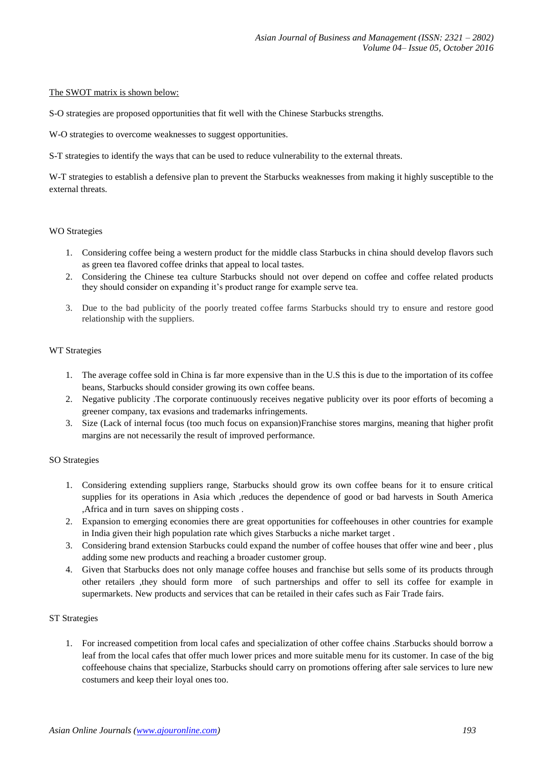## The SWOT matrix is shown below:

S-O strategies are proposed opportunities that fit well with the Chinese Starbucks strengths.

W-O strategies to overcome weaknesses to suggest opportunities.

S-T strategies to identify the ways that can be used to reduce vulnerability to the external threats.

W-T strategies to establish a defensive plan to prevent the Starbucks weaknesses from making it highly susceptible to the external threats.

## WO Strategies

- 1. Considering coffee being a western product for the middle class Starbucks in china should develop flavors such as green tea flavored coffee drinks that appeal to local tastes.
- 2. Considering the Chinese tea culture Starbucks should not over depend on coffee and coffee related products they should consider on expanding it's product range for example serve tea.
- 3. Due to the bad publicity of the poorly treated coffee farms Starbucks should try to ensure and restore good relationship with the suppliers.

## WT Strategies

- 1. The average coffee sold in China is far more expensive than in the U.S this is due to the importation of its coffee beans, Starbucks should consider growing its own coffee beans.
- 2. Negative publicity .The corporate continuously receives negative publicity over its poor efforts of becoming a greener company, tax evasions and trademarks infringements.
- 3. Size (Lack of internal focus (too much focus on expansion)Franchise stores margins, meaning that higher profit margins are not necessarily the result of improved performance.

#### SO Strategies

- 1. Considering extending suppliers range, Starbucks should grow its own coffee beans for it to ensure critical supplies for its operations in Asia which ,reduces the dependence of good or bad harvests in South America ,Africa and in turn saves on shipping costs .
- 2. Expansion to emerging economies there are great opportunities for coffeehouses in other countries for example in India given their high population rate which gives Starbucks a niche market target .
- 3. Considering brand extension Starbucks could expand the number of coffee houses that offer wine and beer , plus adding some new products and reaching a broader customer group.
- 4. Given that Starbucks does not only manage coffee houses and franchise but sells some of its products through other retailers ,they should form more of such partnerships and offer to sell its coffee for example in supermarkets. New products and services that can be retailed in their cafes such as Fair Trade fairs.

# ST Strategies

1. For increased competition from local cafes and specialization of other coffee chains .Starbucks should borrow a leaf from the local cafes that offer much lower prices and more suitable menu for its customer. In case of the big coffeehouse chains that specialize, Starbucks should carry on promotions offering after sale services to lure new costumers and keep their loyal ones too.